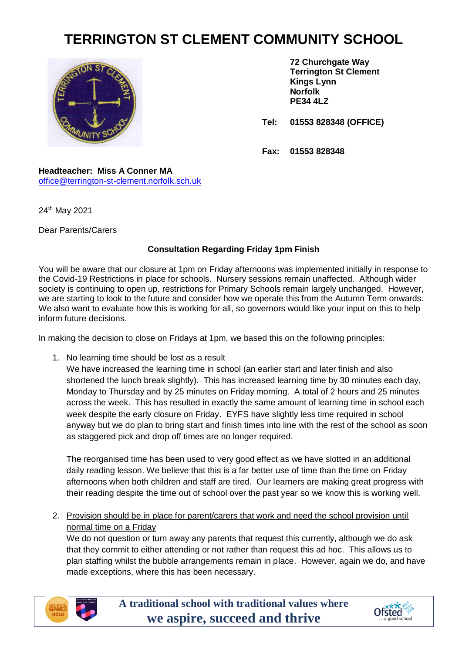## **TERRINGTON ST CLEMENT COMMUNITY SCHOOL**



**72 Churchgate Way Terrington St Clement Kings Lynn Norfolk PE34 4LZ**

**Tel: 01553 828348 (OFFICE)**

**Fax: 01553 828348**

## **Headteacher: Miss A Conner MA** [office@terrington-st-clement.norfolk.sch.uk](mailto:office@terrington-st-clement.norfolk.sch.uk)

24th May 2021

Dear Parents/Carers

## **Consultation Regarding Friday 1pm Finish**

You will be aware that our closure at 1pm on Friday afternoons was implemented initially in response to the Covid-19 Restrictions in place for schools. Nursery sessions remain unaffected. Although wider society is continuing to open up, restrictions for Primary Schools remain largely unchanged. However, we are starting to look to the future and consider how we operate this from the Autumn Term onwards. We also want to evaluate how this is working for all, so governors would like your input on this to help inform future decisions.

In making the decision to close on Fridays at 1pm, we based this on the following principles:

1. No learning time should be lost as a result

We have increased the learning time in school (an earlier start and later finish and also shortened the lunch break slightly). This has increased learning time by 30 minutes each day, Monday to Thursday and by 25 minutes on Friday morning. A total of 2 hours and 25 minutes across the week. This has resulted in exactly the same amount of learning time in school each week despite the early closure on Friday. EYFS have slightly less time required in school anyway but we do plan to bring start and finish times into line with the rest of the school as soon as staggered pick and drop off times are no longer required.

The reorganised time has been used to very good effect as we have slotted in an additional daily reading lesson. We believe that this is a far better use of time than the time on Friday afternoons when both children and staff are tired. Our learners are making great progress with their reading despite the time out of school over the past year so we know this is working well.

2. Provision should be in place for parent/carers that work and need the school provision until normal time on a Friday

We do not question or turn away any parents that request this currently, although we do ask that they commit to either attending or not rather than request this ad hoc. This allows us to plan staffing whilst the bubble arrangements remain in place. However, again we do, and have made exceptions, where this has been necessary.



**A traditional school with traditional values where we aspire, succeed and thrive**